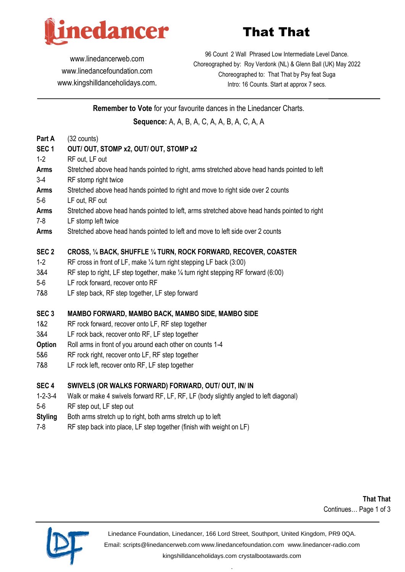

# That That

[www.linedancerweb.com](http://www.linedancerweb.com/) [www.linedancefoundation.com](http://www.linedancerweb.com/)  [www.kingshilldanceholidays.com](http://www.kingshilldanceholidays.com/).

96 Count 2 Wall Phrased Low Intermediate Level Dance. Choreographed by: Roy Verdonk (NL) & Glenn Ball (UK) May 2022 Choreographed to: That That by Psy feat Suga Intro: 16 Counts. Start at approx 7 secs.

**Remember to Vote** for your favourite dances in the Linedancer Charts. **Sequence:** A, A, B, A, C, A, A, B, A, C, A, A

| Part A           | $(32 \text{ counts})$                                                                        |
|------------------|----------------------------------------------------------------------------------------------|
| SEC <sub>1</sub> | OUT/OUT, STOMP x2, OUT/OUT, STOMP x2                                                         |
| $1-2$            | RF out, LF out                                                                               |
| <b>Arms</b>      | Stretched above head hands pointed to right, arms stretched above head hands pointed to left |
| $3-4$            | RF stomp right twice                                                                         |
| <b>Arms</b>      | Stretched above head hands pointed to right and move to right side over 2 counts             |
| $5-6$            | LF out, RF out                                                                               |
| <b>Arms</b>      | Stretched above head hands pointed to left, arms stretched above head hands pointed to right |
| $7 - 8$          | LF stomp left twice                                                                          |
| <b>Arms</b>      | Stretched above head hands pointed to left and move to left side over 2 counts               |
|                  |                                                                                              |
| SEC <sub>2</sub> | CROSS, 1/4 BACK, SHUFFLE 1/4 TURN, ROCK FORWARD, RECOVER, COASTER                            |
| $1 - 2$          | RF cross in front of LF, make 1/4 turn right stepping LF back (3:00)                         |
| 3&4              | RF step to right, LF step together, make 1/4 turn right stepping RF forward (6:00)           |
| $5-6$            | LF rock forward, recover onto RF                                                             |
| 7&8              | LF step back, RF step together, LF step forward                                              |
| SEC <sub>3</sub> | MAMBO FORWARD, MAMBO BACK, MAMBO SIDE, MAMBO SIDE                                            |
| 1&2              | RF rock forward, recover onto LF, RF step together                                           |
| 3&4              | LF rock back, recover onto RF, LF step together                                              |
| <b>Option</b>    | Roll arms in front of you around each other on counts 1-4                                    |
| 5&6              | RF rock right, recover onto LF, RF step together                                             |
| 7&8              | LF rock left, recover onto RF, LF step together                                              |
|                  |                                                                                              |
| SEC <sub>4</sub> | SWIVELS (OR WALKS FORWARD) FORWARD, OUT/ OUT, IN/ IN                                         |
| $1 - 2 - 3 - 4$  | Walk or make 4 swivels forward RF, LF, RF, LF (body slightly angled to left diagonal)        |
| $5-6$            | RF step out, LF step out                                                                     |
| <b>Styling</b>   | Both arms stretch up to right, both arms stretch up to left                                  |
| $7 - 8$          | RF step back into place, LF step together (finish with weight on LF)                         |

**That That** Continues… Page 1 of 3



Linedance Foundation, Linedancer, 166 Lord Street, Southport, United Kingdom, PR9 0QA. Email: [scripts@linedancerweb.com](mailto:scripts@linedancerweb.com) [www.linedancefoundation.com](http://www.linedancefoundation.com/) [www.linedancer-radio.com](http://www.linedancer-radio.com/) [kingshilldanceholidays.com](http://kingshilldanceholidays.com/) [crystalbootawards.com](http://crystalbootawards.com/)

.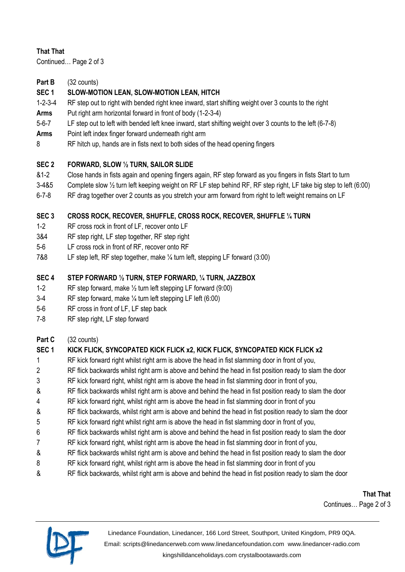#### **That That**

Continued… Page 2 of 3

# **Part B** (32 counts)

# **SEC 1 SLOW-MOTION LEAN, SLOW-MOTION LEAN, HITCH**

- 1-2-3-4 RF step out to right with bended right knee inward, start shifting weight over 3 counts to the right
- **Arms** Put right arm horizontal forward in front of body (1-2-3-4)
- 5-6-7 LF step out to left with bended left knee inward, start shifting weight over 3 counts to the left (6-7-8)
- **Arms** Point left index finger forward underneath right arm
- 8 RF hitch up, hands are in fists next to both sides of the head opening fingers

#### **SEC 2 FORWARD, SLOW ½ TURN, SAILOR SLIDE**

- &1-2 Close hands in fists again and opening fingers again, RF step forward as you fingers in fists Start to turn
- 3-4&5 Complete slow ½ turn left keeping weight on RF LF step behind RF, RF step right, LF take big step to left (6:00)
- 6-7-8 RF drag together over 2 counts as you stretch your arm forward from right to left weight remains on LF

#### **SEC 3 CROSS ROCK, RECOVER, SHUFFLE, CROSS ROCK, RECOVER, SHUFFLE ¼ TURN**

- 1-2 RF cross rock in front of LF, recover onto LF
- 3&4 RF step right, LF step together, RF step right
- 5-6 LF cross rock in front of RF, recover onto RF
- 7&8 LF step left, RF step together, make ¼ turn left, stepping LF forward (3:00)

#### **SEC 4 STEP FORWARD ½ TURN, STEP FORWARD, ¼ TURN, JAZZBOX**

- 1-2 RF step forward, make ½ turn left stepping LF forward (9:00)
- 3-4 RF step forward, make ¼ turn left stepping LF left (6:00)
- 5-6 RF cross in front of LF, LF step back
- 7-8 RF step right, LF step forward

#### Part C (32 counts)

# **SEC 1 KICK FLICK, SYNCOPATED KICK FLICK x2, KICK FLICK, SYNCOPATED KICK FLICK x2** 1 RF kick forward right whilst right arm is above the head in fist slamming door in front of you, 2 RF flick backwards whilst right arm is above and behind the head in fist position ready to slam the door 3 RF kick forward right, whilst right arm is above the head in fist slamming door in front of you, & RF flick backwards whilst right arm is above and behind the head in fist position ready to slam the door 4 RF kick forward right, whilst right arm is above the head in fist slamming door in front of you & RF flick backwards, whilst right arm is above and behind the head in fist position ready to slam the door 5 RF kick forward right whilst right arm is above the head in fist slamming door in front of you, 6 RF flick backwards whilst right arm is above and behind the head in fist position ready to slam the door 7 RF kick forward right, whilst right arm is above the head in fist slamming door in front of you, & RF flick backwards whilst right arm is above and behind the head in fist position ready to slam the door 8 RF kick forward right, whilst right arm is above the head in fist slamming door in front of you

- 
- 
- & RF flick backwards, whilst right arm is above and behind the head in fist position ready to slam the door

**That That** Continues… Page 2 of 3



Linedance Foundation, Linedancer, 166 Lord Street, Southport, United Kingdom, PR9 0QA. Email: [scripts@linedancerweb.com](mailto:scripts@linedancerweb.com) [www.linedancefoundation.com](http://www.linedancefoundation.com/) [www.linedancer-radio.com](http://www.linedancer-radio.com/) [kingshilldanceholidays.com](http://kingshilldanceholidays.com/) [crystalbootawards.com](http://crystalbootawards.com/)